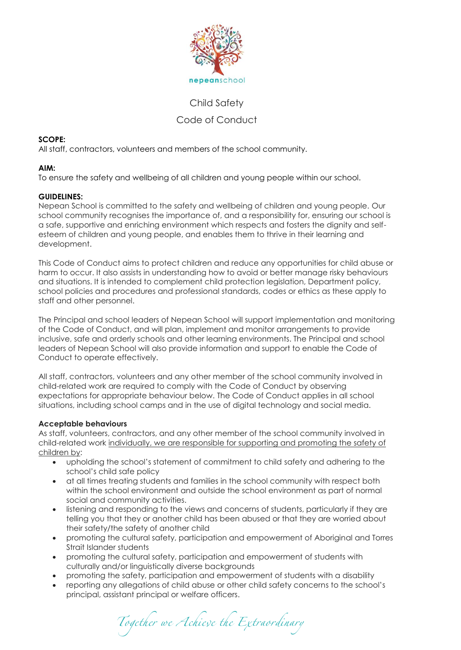

# Child Safety Code of Conduct

# **SCOPE:**

All staff, contractors, volunteers and members of the school community.

# **AIM:**

To ensure the safety and wellbeing of all children and young people within our school.

# **GUIDELINES:**

Nepean School is committed to the safety and wellbeing of children and young people. Our school community recognises the importance of, and a responsibility for, ensuring our school is a safe, supportive and enriching environment which respects and fosters the dignity and selfesteem of children and young people, and enables them to thrive in their learning and development.

This Code of Conduct aims to protect children and reduce any opportunities for child abuse or harm to occur. It also assists in understanding how to avoid or better manage risky behaviours and situations. It is intended to complement child protection legislation, Department policy, school policies and procedures and professional standards, codes or ethics as these apply to staff and other personnel.

The Principal and school leaders of Nepean School will support implementation and monitoring of the Code of Conduct, and will plan, implement and monitor arrangements to provide inclusive, safe and orderly schools and other learning environments. The Principal and school leaders of Nepean School will also provide information and support to enable the Code of Conduct to operate effectively.

All staff, contractors, volunteers and any other member of the school community involved in child-related work are required to comply with the Code of Conduct by observing expectations for appropriate behaviour below. The Code of Conduct applies in all school situations, including school camps and in the use of digital technology and social media.

# **Acceptable behaviours**

As staff, volunteers, contractors, and any other member of the school community involved in child-related work individually, we are responsible for supporting and promoting the safety of children by:

- upholding the school's statement of commitment to child safety and adhering to the school's child safe policy
- at all times treating students and families in the school community with respect both within the school environment and outside the school environment as part of normal social and community activities.
- listening and responding to the views and concerns of students, particularly if they are telling you that they or another child has been abused or that they are worried about their safety/the safety of another child
- promoting the cultural safety, participation and empowerment of Aboriginal and Torres Strait Islander students
- promoting the cultural safety, participation and empowerment of students with culturally and/or linguistically diverse backgrounds
- promoting the safety, participation and empowerment of students with a disability
- reporting any allegations of child abuse or other child safety concerns to the school's principal, assistant principal or welfare officers.

Together we Achieve the Extraordinary